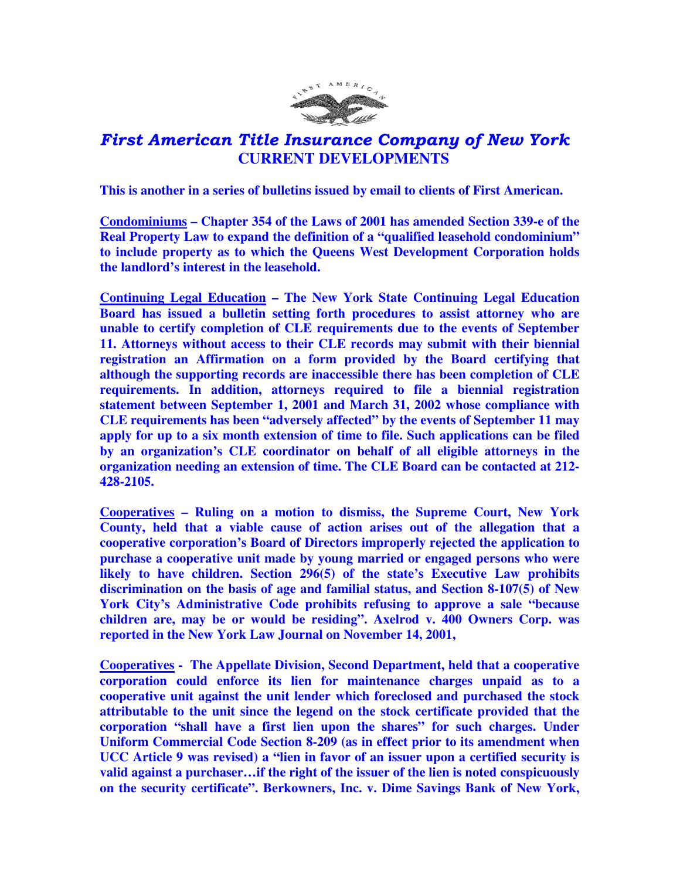

## First American Title Insurance Company of New York  **CURRENT DEVELOPMENTS**

**This is another in a series of bulletins issued by email to clients of First American.** 

**Condominiums – Chapter 354 of the Laws of 2001 has amended Section 339-e of the Real Property Law to expand the definition of a "qualified leasehold condominium" to include property as to which the Queens West Development Corporation holds the landlord's interest in the leasehold.** 

**Continuing Legal Education – The New York State Continuing Legal Education Board has issued a bulletin setting forth procedures to assist attorney who are unable to certify completion of CLE requirements due to the events of September 11. Attorneys without access to their CLE records may submit with their biennial registration an Affirmation on a form provided by the Board certifying that although the supporting records are inaccessible there has been completion of CLE requirements. In addition, attorneys required to file a biennial registration statement between September 1, 2001 and March 31, 2002 whose compliance with CLE requirements has been "adversely affected" by the events of September 11 may apply for up to a six month extension of time to file. Such applications can be filed by an organization's CLE coordinator on behalf of all eligible attorneys in the organization needing an extension of time. The CLE Board can be contacted at 212- 428-2105.** 

**Cooperatives – Ruling on a motion to dismiss, the Supreme Court, New York County, held that a viable cause of action arises out of the allegation that a cooperative corporation's Board of Directors improperly rejected the application to purchase a cooperative unit made by young married or engaged persons who were likely to have children. Section 296(5) of the state's Executive Law prohibits discrimination on the basis of age and familial status, and Section 8-107(5) of New York City's Administrative Code prohibits refusing to approve a sale "because children are, may be or would be residing". Axelrod v. 400 Owners Corp. was reported in the New York Law Journal on November 14, 2001,** 

**Cooperatives - The Appellate Division, Second Department, held that a cooperative corporation could enforce its lien for maintenance charges unpaid as to a cooperative unit against the unit lender which foreclosed and purchased the stock attributable to the unit since the legend on the stock certificate provided that the corporation "shall have a first lien upon the shares" for such charges. Under Uniform Commercial Code Section 8-209 (as in effect prior to its amendment when UCC Article 9 was revised) a "lien in favor of an issuer upon a certified security is valid against a purchaser…if the right of the issuer of the lien is noted conspicuously on the security certificate". Berkowners, Inc. v. Dime Savings Bank of New York,**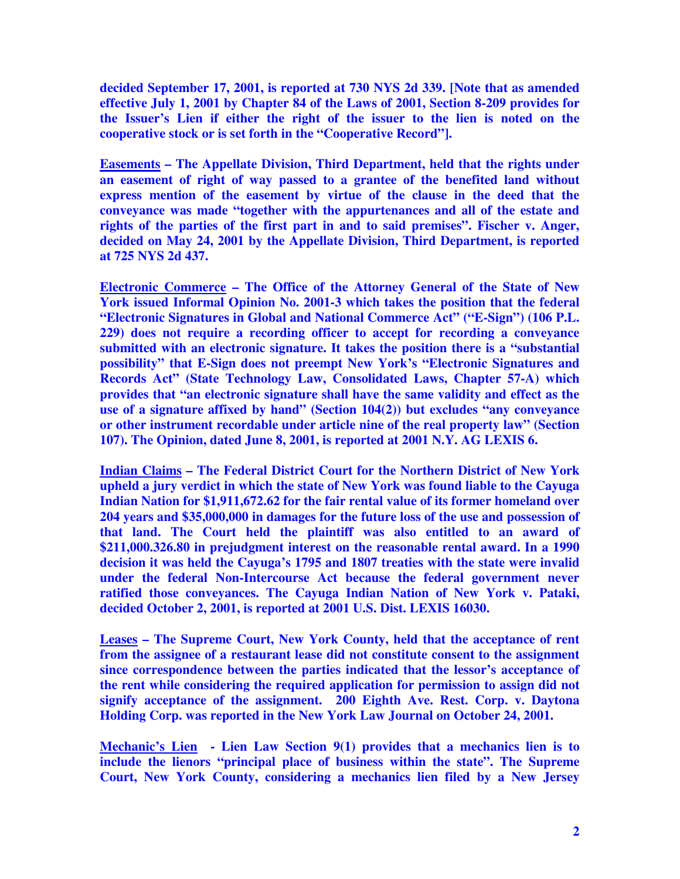**decided September 17, 2001, is reported at 730 NYS 2d 339. [Note that as amended effective July 1, 2001 by Chapter 84 of the Laws of 2001, Section 8-209 provides for the Issuer's Lien if either the right of the issuer to the lien is noted on the cooperative stock or is set forth in the "Cooperative Record"].** 

**Easements – The Appellate Division, Third Department, held that the rights under an easement of right of way passed to a grantee of the benefited land without express mention of the easement by virtue of the clause in the deed that the conveyance was made "together with the appurtenances and all of the estate and rights of the parties of the first part in and to said premises". Fischer v. Anger, decided on May 24, 2001 by the Appellate Division, Third Department, is reported at 725 NYS 2d 437.** 

**Electronic Commerce – The Office of the Attorney General of the State of New York issued Informal Opinion No. 2001-3 which takes the position that the federal "Electronic Signatures in Global and National Commerce Act" ("E-Sign") (106 P.L. 229) does not require a recording officer to accept for recording a conveyance submitted with an electronic signature. It takes the position there is a "substantial possibility" that E-Sign does not preempt New York's "Electronic Signatures and Records Act" (State Technology Law, Consolidated Laws, Chapter 57-A) which provides that "an electronic signature shall have the same validity and effect as the use of a signature affixed by hand" (Section 104(2)) but excludes "any conveyance or other instrument recordable under article nine of the real property law" (Section 107). The Opinion, dated June 8, 2001, is reported at 2001 N.Y. AG LEXIS 6.** 

**Indian Claims – The Federal District Court for the Northern District of New York upheld a jury verdict in which the state of New York was found liable to the Cayuga Indian Nation for \$1,911,672.62 for the fair rental value of its former homeland over 204 years and \$35,000,000 in damages for the future loss of the use and possession of that land. The Court held the plaintiff was also entitled to an award of \$211,000.326.80 in prejudgment interest on the reasonable rental award. In a 1990 decision it was held the Cayuga's 1795 and 1807 treaties with the state were invalid under the federal Non-Intercourse Act because the federal government never ratified those conveyances. The Cayuga Indian Nation of New York v. Pataki, decided October 2, 2001, is reported at 2001 U.S. Dist. LEXIS 16030.** 

**Leases – The Supreme Court, New York County, held that the acceptance of rent from the assignee of a restaurant lease did not constitute consent to the assignment since correspondence between the parties indicated that the lessor's acceptance of the rent while considering the required application for permission to assign did not signify acceptance of the assignment. 200 Eighth Ave. Rest. Corp. v. Daytona Holding Corp. was reported in the New York Law Journal on October 24, 2001.** 

**Mechanic's Lien - Lien Law Section 9(1) provides that a mechanics lien is to include the lienors "principal place of business within the state". The Supreme Court, New York County, considering a mechanics lien filed by a New Jersey**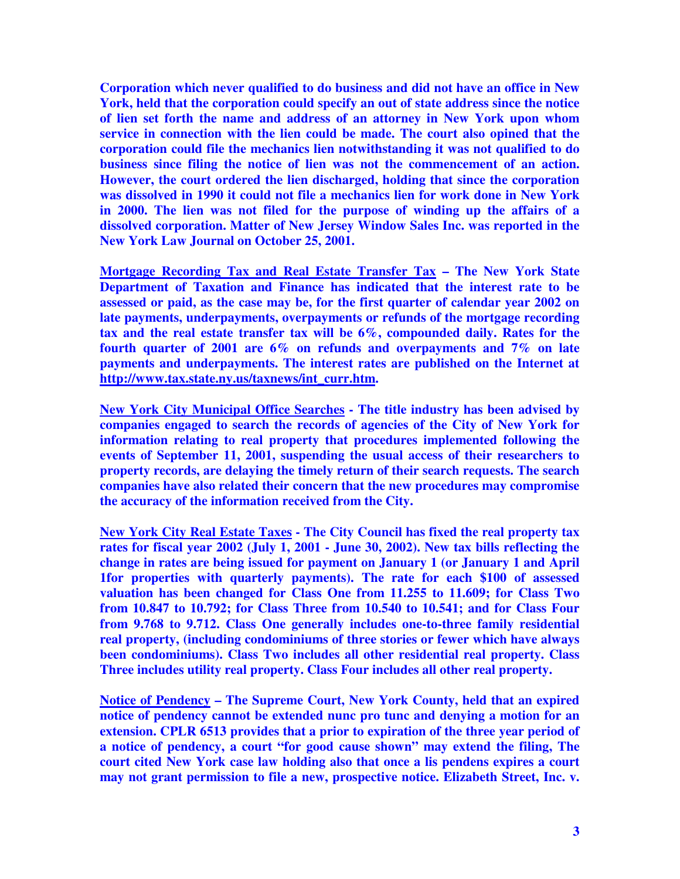**Corporation which never qualified to do business and did not have an office in New York, held that the corporation could specify an out of state address since the notice of lien set forth the name and address of an attorney in New York upon whom service in connection with the lien could be made. The court also opined that the corporation could file the mechanics lien notwithstanding it was not qualified to do business since filing the notice of lien was not the commencement of an action. However, the court ordered the lien discharged, holding that since the corporation was dissolved in 1990 it could not file a mechanics lien for work done in New York in 2000. The lien was not filed for the purpose of winding up the affairs of a dissolved corporation. Matter of New Jersey Window Sales Inc. was reported in the New York Law Journal on October 25, 2001.** 

**Mortgage Recording Tax and Real Estate Transfer Tax – The New York State Department of Taxation and Finance has indicated that the interest rate to be assessed or paid, as the case may be, for the first quarter of calendar year 2002 on late payments, underpayments, overpayments or refunds of the mortgage recording tax and the real estate transfer tax will be 6%, compounded daily. Rates for the fourth quarter of 2001 are 6% on refunds and overpayments and 7% on late payments and underpayments. The interest rates are published on the Internet at http://www.tax.state.ny.us/taxnews/int\_curr.htm.** 

**New York City Municipal Office Searches - The title industry has been advised by companies engaged to search the records of agencies of the City of New York for information relating to real property that procedures implemented following the events of September 11, 2001, suspending the usual access of their researchers to property records, are delaying the timely return of their search requests. The search companies have also related their concern that the new procedures may compromise the accuracy of the information received from the City.** 

**New York City Real Estate Taxes - The City Council has fixed the real property tax rates for fiscal year 2002 (July 1, 2001 - June 30, 2002). New tax bills reflecting the change in rates are being issued for payment on January 1 (or January 1 and April 1for properties with quarterly payments). The rate for each \$100 of assessed valuation has been changed for Class One from 11.255 to 11.609; for Class Two from 10.847 to 10.792; for Class Three from 10.540 to 10.541; and for Class Four from 9.768 to 9.712. Class One generally includes one-to-three family residential real property, (including condominiums of three stories or fewer which have always been condominiums). Class Two includes all other residential real property. Class Three includes utility real property. Class Four includes all other real property.** 

**Notice of Pendency – The Supreme Court, New York County, held that an expired notice of pendency cannot be extended nunc pro tunc and denying a motion for an extension. CPLR 6513 provides that a prior to expiration of the three year period of a notice of pendency, a court "for good cause shown" may extend the filing, The court cited New York case law holding also that once a lis pendens expires a court may not grant permission to file a new, prospective notice. Elizabeth Street, Inc. v.**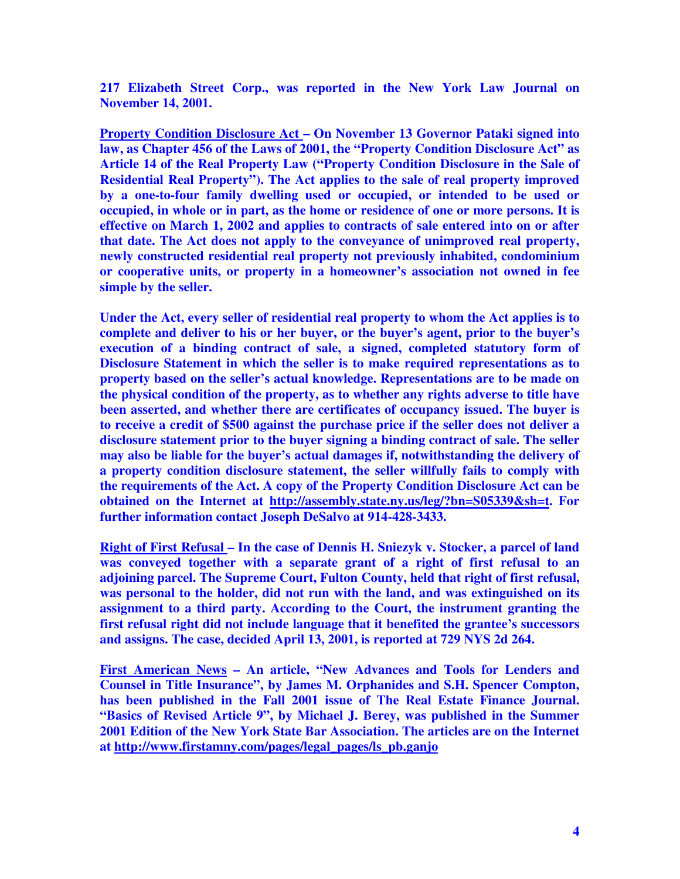**217 Elizabeth Street Corp., was reported in the New York Law Journal on November 14, 2001.** 

**Property Condition Disclosure Act – On November 13 Governor Pataki signed into law, as Chapter 456 of the Laws of 2001, the "Property Condition Disclosure Act" as Article 14 of the Real Property Law ("Property Condition Disclosure in the Sale of Residential Real Property"). The Act applies to the sale of real property improved by a one-to-four family dwelling used or occupied, or intended to be used or occupied, in whole or in part, as the home or residence of one or more persons. It is effective on March 1, 2002 and applies to contracts of sale entered into on or after that date. The Act does not apply to the conveyance of unimproved real property, newly constructed residential real property not previously inhabited, condominium or cooperative units, or property in a homeowner's association not owned in fee simple by the seller.** 

**Under the Act, every seller of residential real property to whom the Act applies is to complete and deliver to his or her buyer, or the buyer's agent, prior to the buyer's execution of a binding contract of sale, a signed, completed statutory form of Disclosure Statement in which the seller is to make required representations as to property based on the seller's actual knowledge. Representations are to be made on the physical condition of the property, as to whether any rights adverse to title have been asserted, and whether there are certificates of occupancy issued. The buyer is to receive a credit of \$500 against the purchase price if the seller does not deliver a disclosure statement prior to the buyer signing a binding contract of sale. The seller may also be liable for the buyer's actual damages if, notwithstanding the delivery of a property condition disclosure statement, the seller willfully fails to comply with the requirements of the Act. A copy of the Property Condition Disclosure Act can be obtained on the Internet at http://assembly.state.ny.us/leg/?bn=S05339&sh=t. For further information contact Joseph DeSalvo at 914-428-3433.** 

**Right of First Refusal – In the case of Dennis H. Sniezyk v. Stocker, a parcel of land was conveyed together with a separate grant of a right of first refusal to an adjoining parcel. The Supreme Court, Fulton County, held that right of first refusal, was personal to the holder, did not run with the land, and was extinguished on its assignment to a third party. According to the Court, the instrument granting the first refusal right did not include language that it benefited the grantee's successors and assigns. The case, decided April 13, 2001, is reported at 729 NYS 2d 264.** 

**First American News – An article, "New Advances and Tools for Lenders and Counsel in Title Insurance", by James M. Orphanides and S.H. Spencer Compton, has been published in the Fall 2001 issue of The Real Estate Finance Journal. "Basics of Revised Article 9", by Michael J. Berey, was published in the Summer 2001 Edition of the New York State Bar Association. The articles are on the Internet at http://www.firstamny.com/pages/legal\_pages/ls\_pb.ganjo**